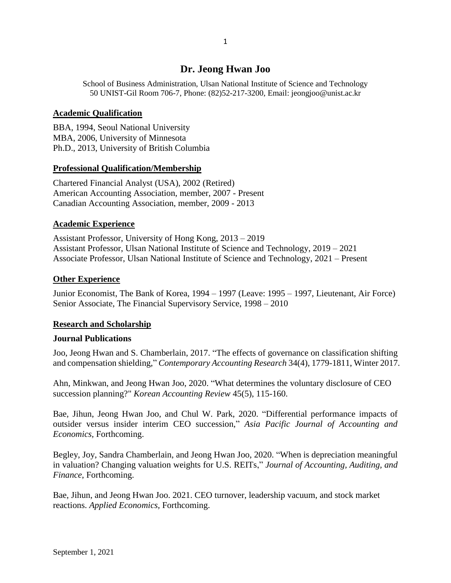# **Dr. Jeong Hwan Joo**

School of Business Administration, Ulsan National Institute of Science and Technology 50 UNIST-Gil Room 706-7, Phone: (82)52-217-3200, Email: jeongjoo@unist.ac.kr

## **Academic Qualification**

BBA, 1994, Seoul National University MBA, 2006, University of Minnesota Ph.D., 2013, University of British Columbia

# **Professional Qualification/Membership**

Chartered Financial Analyst (USA), 2002 (Retired) American Accounting Association, member, 2007 - Present Canadian Accounting Association, member, 2009 - 2013

## **Academic Experience**

Assistant Professor, University of Hong Kong, 2013 – 2019 Assistant Professor, Ulsan National Institute of Science and Technology, 2019 – 2021 Associate Professor, Ulsan National Institute of Science and Technology, 2021 – Present

# **Other Experience**

Junior Economist, The Bank of Korea, 1994 – 1997 (Leave: 1995 – 1997, Lieutenant, Air Force) Senior Associate, The Financial Supervisory Service, 1998 – 2010

# **Research and Scholarship**

## **Journal Publications**

Joo, Jeong Hwan and S. Chamberlain, 2017. "The effects of governance on classification shifting and compensation shielding," *Contemporary Accounting Research* 34(4), 1779-1811, Winter 2017.

Ahn, Minkwan, and Jeong Hwan Joo, 2020. "What determines the voluntary disclosure of CEO succession planning?" *Korean Accounting Review* 45(5), 115-160.

Bae, Jihun, Jeong Hwan Joo, and Chul W. Park, 2020. "Differential performance impacts of outsider versus insider interim CEO succession," *Asia Pacific Journal of Accounting and Economics,* Forthcoming.

Begley, Joy, Sandra Chamberlain, and Jeong Hwan Joo, 2020. "When is depreciation meaningful in valuation? Changing valuation weights for U.S. REITs," *Journal of Accounting, Auditing, and Finance*, Forthcoming.

Bae, Jihun, and Jeong Hwan Joo. 2021. CEO turnover, leadership vacuum, and stock market reactions. *Applied Economics,* Forthcoming.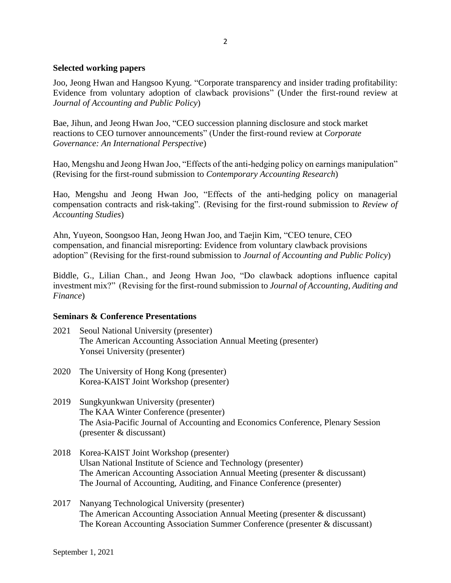#### **Selected working papers**

Joo, Jeong Hwan and Hangsoo Kyung. "Corporate transparency and insider trading profitability: Evidence from voluntary adoption of clawback provisions" (Under the first-round review at *Journal of Accounting and Public Policy*)

Bae, Jihun, and Jeong Hwan Joo, "CEO succession planning disclosure and stock market reactions to CEO turnover announcements" (Under the first-round review at *Corporate Governance: An International Perspective*)

Hao, Mengshu and Jeong Hwan Joo, "Effects of the anti-hedging policy on earnings manipulation" (Revising for the first-round submission to *Contemporary Accounting Research*)

Hao, Mengshu and Jeong Hwan Joo, "Effects of the anti-hedging policy on managerial compensation contracts and risk-taking". (Revising for the first-round submission to *Review of Accounting Studies*)

Ahn, Yuyeon, Soongsoo Han, Jeong Hwan Joo, and Taejin Kim, "CEO tenure, CEO compensation, and financial misreporting: Evidence from voluntary clawback provisions adoption" (Revising for the first-round submission to *Journal of Accounting and Public Policy*)

Biddle, G., Lilian Chan*.*, and Jeong Hwan Joo, "Do clawback adoptions influence capital investment mix?" (Revising for the first-round submission to *Journal of Accounting, Auditing and Finance*)

#### **Seminars & Conference Presentations**

- 2021 Seoul National University (presenter) The American Accounting Association Annual Meeting (presenter) Yonsei University (presenter)
- 2020 The University of Hong Kong (presenter) Korea-KAIST Joint Workshop (presenter)
- 2019 Sungkyunkwan University (presenter) The KAA Winter Conference (presenter) The Asia-Pacific Journal of Accounting and Economics Conference, Plenary Session (presenter & discussant)
- 2018 Korea-KAIST Joint Workshop (presenter) Ulsan National Institute of Science and Technology (presenter) The American Accounting Association Annual Meeting (presenter & discussant) The Journal of Accounting, Auditing, and Finance Conference (presenter)
- 2017 Nanyang Technological University (presenter) The American Accounting Association Annual Meeting (presenter & discussant) The Korean Accounting Association Summer Conference (presenter & discussant)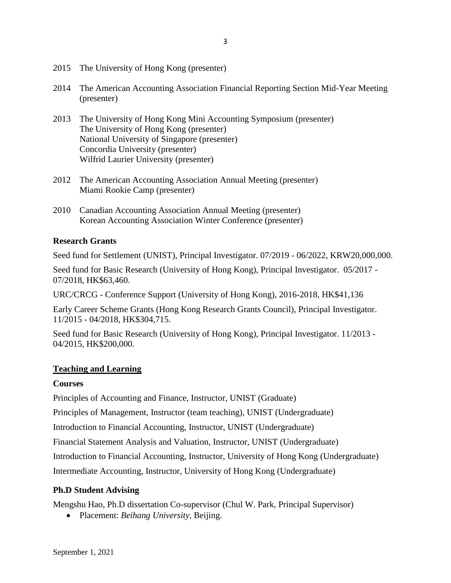- 2015 The University of Hong Kong (presenter)
- 2014 The American Accounting Association Financial Reporting Section Mid-Year Meeting (presenter)
- 2013 The University of Hong Kong Mini Accounting Symposium (presenter) The University of Hong Kong (presenter) National University of Singapore (presenter) Concordia University (presenter) Wilfrid Laurier University (presenter)
- 2012 The American Accounting Association Annual Meeting (presenter) Miami Rookie Camp (presenter)
- 2010 Canadian Accounting Association Annual Meeting (presenter) Korean Accounting Association Winter Conference (presenter)

## **Research Grants**

Seed fund for Settlement (UNIST), Principal Investigator. 07/2019 - 06/2022, KRW20,000,000.

Seed fund for Basic Research (University of Hong Kong), Principal Investigator. 05/2017 - 07/2018, HK\$63,460.

URC/CRCG - Conference Support (University of Hong Kong), 2016-2018, HK\$41,136

Early Career Scheme Grants (Hong Kong Research Grants Council), Principal Investigator. 11/2015 - 04/2018, HK\$304,715.

Seed fund for Basic Research (University of Hong Kong), Principal Investigator. 11/2013 - 04/2015, HK\$200,000.

## **Teaching and Learning**

#### **Courses**

Principles of Accounting and Finance, Instructor, UNIST (Graduate)

Principles of Management, Instructor (team teaching), UNIST (Undergraduate)

Introduction to Financial Accounting, Instructor, UNIST (Undergraduate)

Financial Statement Analysis and Valuation, Instructor, UNIST (Undergraduate)

Introduction to Financial Accounting, Instructor, University of Hong Kong (Undergraduate)

Intermediate Accounting, Instructor, University of Hong Kong (Undergraduate)

## **Ph.D Student Advising**

Mengshu Hao, Ph.D dissertation Co-supervisor (Chul W. Park, Principal Supervisor)

Placement: *Beihang University,* Beijing.